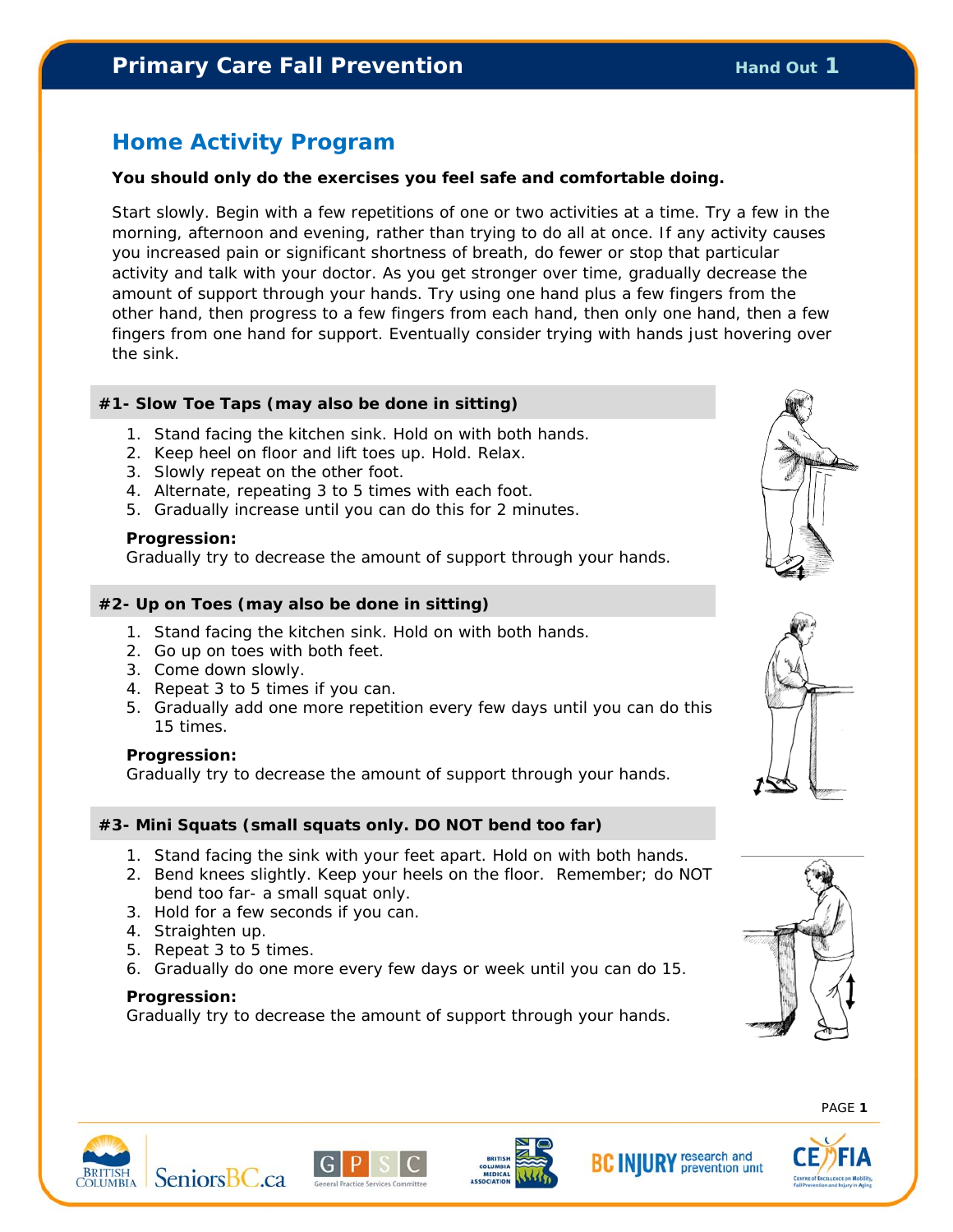## **Primary Care Fall Prevention Example 20 August 20 August 20 August 20 August 20 August 20 August 20 August 20 August 20 August 20 August 20 August 20 August 20 August 20 August 20 August 20 August 20 August 20 August 20**

## **Home Activity Program**

### **You should only do the exercises you feel safe and comfortable doing.**

Start slowly. Begin with a few repetitions of one or two activities at a time. Try a few in the morning, afternoon and evening, rather than trying to do all at once. If any activity causes you increased pain or significant shortness of breath, do fewer or stop that particular activity and talk with your doctor. As you get stronger over time, gradually decrease the amount of support through your hands. Try using one hand plus a few fingers from the other hand, then progress to a few fingers from each hand, then only one hand, then a few fingers from one hand for support. Eventually consider trying with hands just hovering over the sink.

### **#1- Slow Toe Taps (may also be done in sitting)**

- 1. Stand facing the kitchen sink. Hold on with both hands.
- 2. Keep heel on floor and lift toes up. Hold. Relax.
- 3. Slowly repeat on the other foot.
- 4. Alternate, repeating 3 to 5 times with each foot.
- 5. Gradually increase until you can do this for 2 minutes.

### **Progression:**

Gradually try to decrease the amount of support through your hands.

### **#2- Up on Toes (may also be done in sitting)**

- 1. Stand facing the kitchen sink. Hold on with both hands.
- 2. Go up on toes with both feet.
- 3. Come down slowly.
- 4. Repeat 3 to 5 times if you can.
- 5. Gradually add one more repetition every few days until you can do this 15 times.

### **Progression:**

Gradually try to decrease the amount of support through your hands.

### **#3- Mini Squats (small squats only. DO NOT bend too far)**

- 1. Stand facing the sink with your feet apart. Hold on with both hands.
- 2. Bend knees slightly. Keep your heels on the floor. Remember; do NOT bend too far- a small squat only.
- 3. Hold for a few seconds if you can.
- 4. Straighten up.
- 5. Repeat 3 to 5 times.
- 6. Gradually do one more every few days or week until you can do 15.

### **Progression:**

Gradually try to decrease the amount of support through your hands.















PAGE **1**